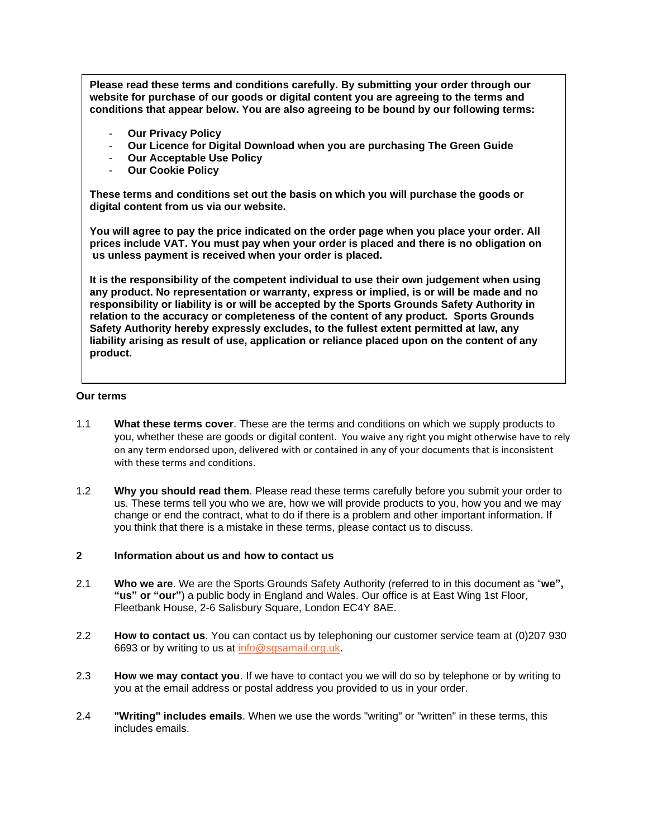**Please read these terms and conditions carefully. By submitting your order through our website for purchase of our goods or digital content you are agreeing to the terms and conditions that appear below. You are also agreeing to be bound by our following terms:**

- **Our Privacy Policy**
- **Our Licence for Digital Download when you are purchasing The Green Guide**
- **Our Acceptable Use Policy**
- **Our Cookie Policy**

**These terms and conditions set out the basis on which you will purchase the goods or digital content from us via our website.** 

**You will agree to pay the price indicated on the order page when you place your order. All prices include VAT. You must pay when your order is placed and there is no obligation on us unless payment is received when your order is placed.**

**It is the responsibility of the competent individual to use their own judgement when using any product. No representation or warranty, express or implied, is or will be made and no responsibility or liability is or will be accepted by the Sports Grounds Safety Authority in relation to the accuracy or completeness of the content of any product. Sports Grounds Safety Authority hereby expressly excludes, to the fullest extent permitted at law, any liability arising as result of use, application or reliance placed upon on the content of any product.**

## **Our terms**

- 1.1 **What these terms cover**. These are the terms and conditions on which we supply products to you, whether these are goods or digital content. You waive any right you might otherwise have to rely on any term endorsed upon, delivered with or contained in any of your documents that is inconsistent with these terms and conditions.
- 1.2 **Why you should read them**. Please read these terms carefully before you submit your order to us. These terms tell you who we are, how we will provide products to you, how you and we may change or end the contract, what to do if there is a problem and other important information. If you think that there is a mistake in these terms, please contact us to discuss.

## **2 Information about us and how to contact us**

- 2.1 **Who we are**. We are the Sports Grounds Safety Authority (referred to in this document as "**we", "us" or "our"**) a public body in England and Wales. Our office is at East Wing 1st Floor, Fleetbank House, 2-6 Salisbury Square, London EC4Y 8AE.
- 2.2 **How to contact us**. You can contact us by telephoning our customer service team at (0)207 930 6693 or by writing to us at [info@sgsamail.org.uk.](mailto:info@sgsamail.org.uk)
- 2.3 **How we may contact you**. If we have to contact you we will do so by telephone or by writing to you at the email address or postal address you provided to us in your order.
- 2.4 **"Writing" includes emails**. When we use the words "writing" or "written" in these terms, this includes emails.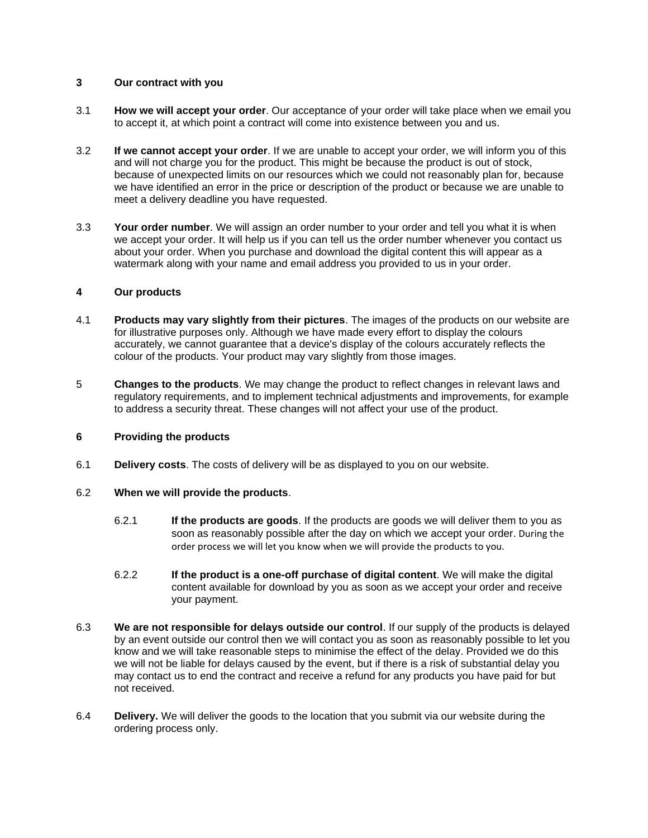# **3 Our contract with you**

- 3.1 **How we will accept your order**. Our acceptance of your order will take place when we email you to accept it, at which point a contract will come into existence between you and us.
- 3.2 **If we cannot accept your order**. If we are unable to accept your order, we will inform you of this and will not charge you for the product. This might be because the product is out of stock, because of unexpected limits on our resources which we could not reasonably plan for, because we have identified an error in the price or description of the product or because we are unable to meet a delivery deadline you have requested.
- 3.3 **Your order number**. We will assign an order number to your order and tell you what it is when we accept your order. It will help us if you can tell us the order number whenever you contact us about your order. When you purchase and download the digital content this will appear as a watermark along with your name and email address you provided to us in your order.

# **4 Our products**

- 4.1 **Products may vary slightly from their pictures**. The images of the products on our website are for illustrative purposes only. Although we have made every effort to display the colours accurately, we cannot guarantee that a device's display of the colours accurately reflects the colour of the products. Your product may vary slightly from those images.
- 5 **Changes to the products**. We may change the product to reflect changes in relevant laws and regulatory requirements, and to implement technical adjustments and improvements, for example to address a security threat. These changes will not affect your use of the product.

## **6 Providing the products**

6.1 **Delivery costs**. The costs of delivery will be as displayed to you on our website.

## 6.2 **When we will provide the products**.

- 6.2.1 **If the products are goods**. If the products are goods we will deliver them to you as soon as reasonably possible after the day on which we accept your order. During the order process we will let you know when we will provide the products to you.
- 6.2.2 **If the product is a one-off purchase of digital content**. We will make the digital content available for download by you as soon as we accept your order and receive your payment.
- 6.3 **We are not responsible for delays outside our control**. If our supply of the products is delayed by an event outside our control then we will contact you as soon as reasonably possible to let you know and we will take reasonable steps to minimise the effect of the delay. Provided we do this we will not be liable for delays caused by the event, but if there is a risk of substantial delay you may contact us to end the contract and receive a refund for any products you have paid for but not received.
- 6.4 **Delivery.** We will deliver the goods to the location that you submit via our website during the ordering process only.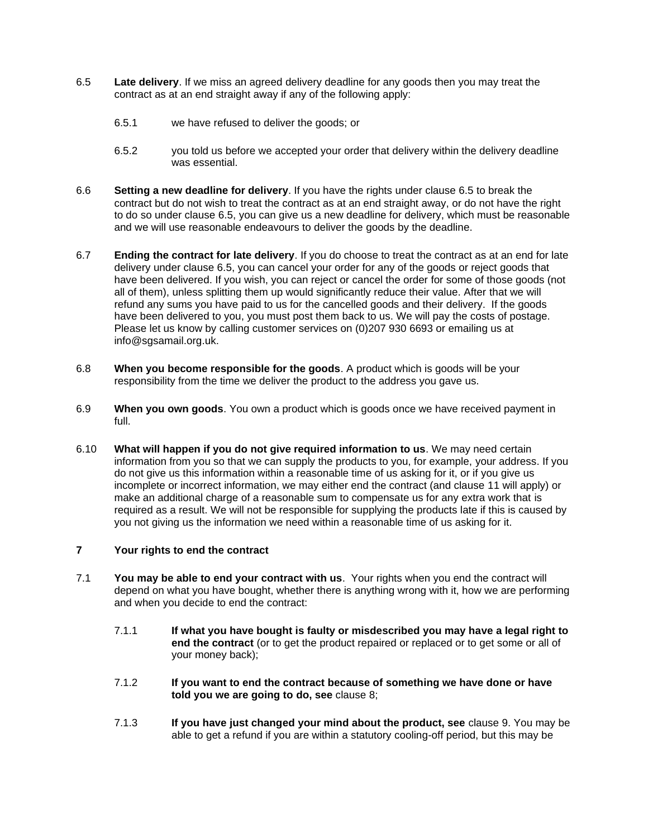- <span id="page-2-0"></span>6.5 **Late delivery**. If we miss an agreed delivery deadline for any goods then you may treat the contract as at an end straight away if any of the following apply:
	- 6.5.1 we have refused to deliver the goods; or
	- 6.5.2 you told us before we accepted your order that delivery within the delivery deadline was essential.
- 6.6 **Setting a new deadline for delivery**. If you have the rights under clause [6.5](#page-2-0) to break the contract but do not wish to treat the contract as at an end straight away, or do not have the right to do so under clause 6.5, you can give us a new deadline for delivery, which must be reasonable and we will use reasonable endeavours to deliver the goods by the deadline.
- 6.7 **Ending the contract for late delivery**. If you do choose to treat the contract as at an end for late delivery under clause [6.5,](#page-2-0) you can cancel your order for any of the goods or reject goods that have been delivered. If you wish, you can reject or cancel the order for some of those goods (not all of them), unless splitting them up would significantly reduce their value. After that we will refund any sums you have paid to us for the cancelled goods and their delivery. If the goods have been delivered to you, you must post them back to us. We will pay the costs of postage. Please let us know by calling customer services on (0)207 930 6693 or emailing us at info@sgsamail.org.uk.
- 6.8 **When you become responsible for the goods**. A product which is goods will be your responsibility from the time we deliver the product to the address you gave us.
- 6.9 **When you own goods**. You own a product which is goods once we have received payment in full.
- 6.10 **What will happen if you do not give required information to us**. We may need certain information from you so that we can supply the products to you, for example, your address. If you do not give us this information within a reasonable time of us asking for it, or if you give us incomplete or incorrect information, we may either end the contract (and clause 11 will apply) or make an additional charge of a reasonable sum to compensate us for any extra work that is required as a result. We will not be responsible for supplying the products late if this is caused by you not giving us the information we need within a reasonable time of us asking for it.

# **7 Your rights to end the contract**

- 7.1 **You may be able to end your contract with us**. Your rights when you end the contract will depend on what you have bought, whether there is anything wrong with it, how we are performing and when you decide to end the contract:
	- 7.1.1 **If what you have bought is faulty or misdescribed you may have a legal right to end the contract** (or to get the product repaired or replaced or to get some or all of your money back);
	- 7.1.2 **If you want to end the contract because of something we have done or have told you we are going to do, see** clause [8;](#page-3-0)
	- 7.1.3 **If you have just changed your mind about the product, see** clause [9.](#page-3-1) You may be able to get a refund if you are within a statutory cooling-off period, but this may be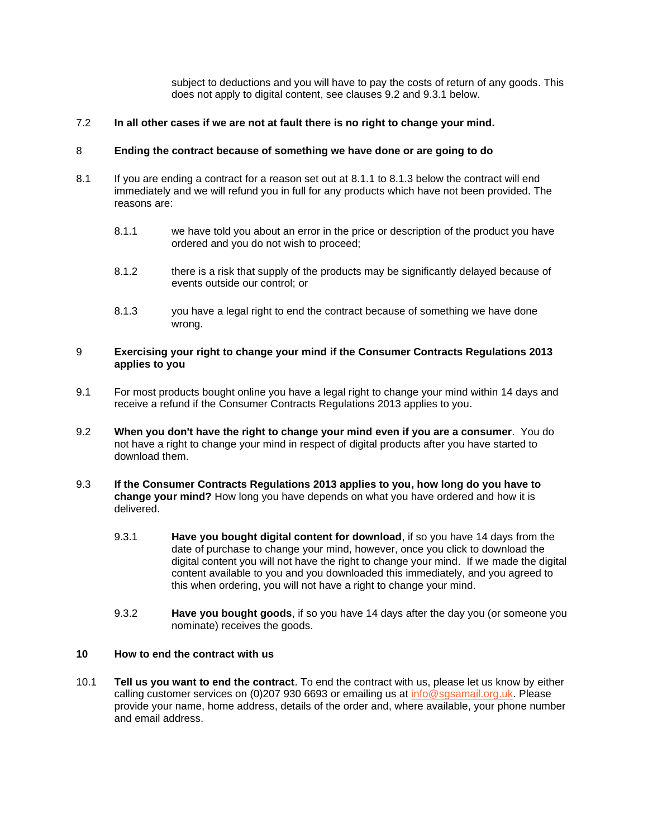subject to deductions and you will have to pay the costs of return of any goods. This does not apply to digital content, see clauses [9.2](#page-3-2) and [9.3.1](#page-3-3) below.

# 7.2 **In all other cases if we are not at fault there is no right to change your mind.**

# <span id="page-3-0"></span>8 **Ending the contract because of something we have done or are going to do**

- <span id="page-3-4"></span>8.1 If you are ending a contract for a reason set out at [8.1.1](#page-3-4) to [8.1.3](#page-3-5) below the contract will end immediately and we will refund you in full for any products which have not been provided. The reasons are:
	- 8.1.1 we have told you about an error in the price or description of the product you have ordered and you do not wish to proceed;
	- 8.1.2 there is a risk that supply of the products may be significantly delayed because of events outside our control; or
	- 8.1.3 you have a legal right to end the contract because of something we have done wrong.

## <span id="page-3-5"></span><span id="page-3-1"></span>9 **Exercising your right to change your mind if the Consumer Contracts Regulations 2013 applies to you**

- 9.1 For most products bought online you have a legal right to change your mind within 14 days and receive a refund if the Consumer Contracts Regulations 2013 applies to you.
- <span id="page-3-2"></span>9.2 **When you don't have the right to change your mind even if you are a consumer**. You do not have a right to change your mind in respect of digital products after you have started to download them.
- <span id="page-3-3"></span>9.3 **If the Consumer Contracts Regulations 2013 applies to you, how long do you have to change your mind?** How long you have depends on what you have ordered and how it is delivered.
	- 9.3.1 **Have you bought digital content for download**, if so you have 14 days from the date of purchase to change your mind, however, once you click to download the digital content you will not have the right to change your mind. If we made the digital content available to you and you downloaded this immediately, and you agreed to this when ordering, you will not have a right to change your mind.
	- 9.3.2 **Have you bought goods**, if so you have 14 days after the day you (or someone you nominate) receives the goods.

## **10 How to end the contract with us**

10.1 **Tell us you want to end the contract**. To end the contract with us, please let us know by either calling customer services on (0)207 930 6693 or emailing us at [info@sgsamail.org.uk.](mailto:info@sgsamail.org.uk) Please provide your name, home address, details of the order and, where available, your phone number and email address.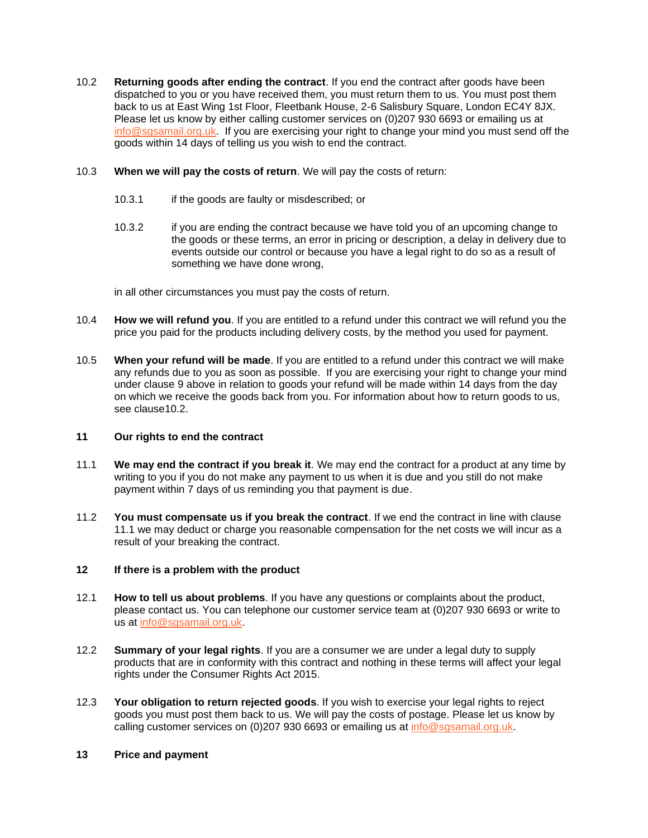- <span id="page-4-0"></span>10.2 **Returning goods after ending the contract**. If you end the contract after goods have been dispatched to you or you have received them, you must return them to us. You must post them back to us at East Wing 1st Floor, Fleetbank House, 2-6 Salisbury Square, London EC4Y 8JX. Please let us know by either calling customer services on (0)207 930 6693 or emailing us at [info@sgsamail.org.uk.](mailto:info@sgsamail.org.uk) If you are exercising your right to change your mind you must send off the goods within 14 days of telling us you wish to end the contract.
- 10.3 **When we will pay the costs of return**. We will pay the costs of return:
	- 10.3.1 if the goods are faulty or misdescribed; or
	- 10.3.2 if you are ending the contract because we have told you of an upcoming change to the goods or these terms, an error in pricing or description, a delay in delivery due to events outside our control or because you have a legal right to do so as a result of something we have done wrong,

in all other circumstances you must pay the costs of return.

- 10.4 **How we will refund you**. If you are entitled to a refund under this contract we will refund you the price you paid for the products including delivery costs, by the method you used for payment.
- 10.5 **When your refund will be made**. If you are entitled to a refund under this contract we will make any refunds due to you as soon as possible. If you are exercising your right to change your mind under clause [9](#page-3-1) above in relation to goods your refund will be made within 14 days from the day on which we receive the goods back from you. For information about how to return goods to us, see claus[e10.2.](#page-4-0)

# **11 Our rights to end the contract**

- <span id="page-4-1"></span>11.1 **We may end the contract if you break it**. We may end the contract for a product at any time by writing to you if you do not make any payment to us when it is due and you still do not make payment within 7 days of us reminding you that payment is due.
- 11.2 **You must compensate us if you break the contract**. If we end the contract in line with clause [11.1](#page-4-1) we may deduct or charge you reasonable compensation for the net costs we will incur as a result of your breaking the contract.

# **12 If there is a problem with the product**

- 12.1 **How to tell us about problems**. If you have any questions or complaints about the product, please contact us. You can telephone our customer service team at (0)207 930 6693 or write to us at [info@sgsamail.org.uk.](mailto:info@sgsamail.org.uk)
- 12.2 **Summary of your legal rights**. If you are a consumer we are under a legal duty to supply products that are in conformity with this contract and nothing in these terms will affect your legal rights under the Consumer Rights Act 2015.
- 12.3 **Your obligation to return rejected goods**. If you wish to exercise your legal rights to reject goods you must post them back to us. We will pay the costs of postage. Please let us know by calling customer services on (0)207 930 6693 or emailing us at [info@sgsamail.org.uk.](mailto:info@sgsamail.org.uk)

## **13 Price and payment**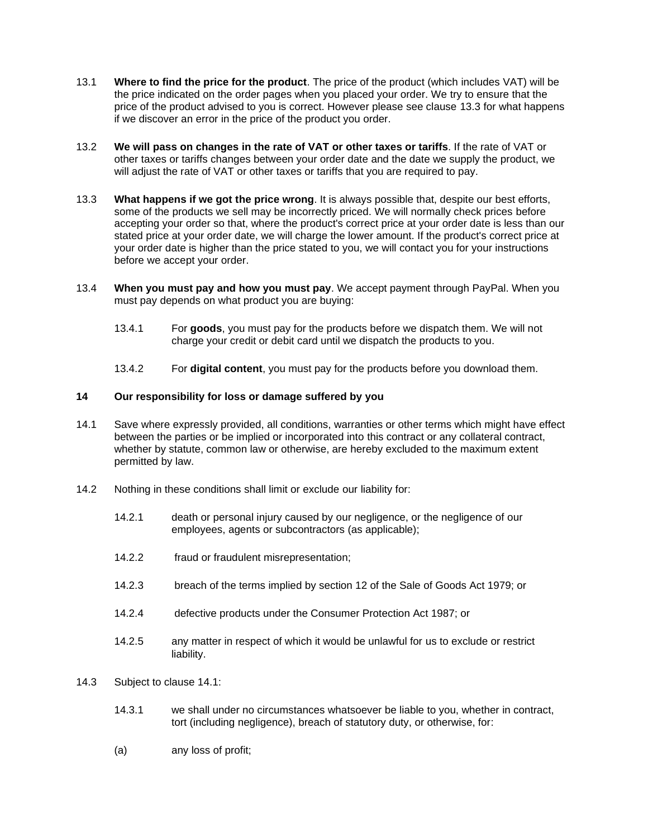- 13.1 **Where to find the price for the product**. The price of the product (which includes VAT) will be the price indicated on the order pages when you placed your order. We try to ensure that the price of the product advised to you is correct. However please see clause [13.3](#page-5-0) for what happens if we discover an error in the price of the product you order.
- 13.2 **We will pass on changes in the rate of VAT or other taxes or tariffs**. If the rate of VAT or other taxes or tariffs changes between your order date and the date we supply the product, we will adjust the rate of VAT or other taxes or tariffs that you are required to pay.
- <span id="page-5-0"></span>13.3 **What happens if we got the price wrong**. It is always possible that, despite our best efforts, some of the products we sell may be incorrectly priced. We will normally check prices before accepting your order so that, where the product's correct price at your order date is less than our stated price at your order date, we will charge the lower amount. If the product's correct price at your order date is higher than the price stated to you, we will contact you for your instructions before we accept your order.
- 13.4 **When you must pay and how you must pay**. We accept payment through PayPal. When you must pay depends on what product you are buying:
	- 13.4.1 For **goods**, you must pay for the products before we dispatch them. We will not charge your credit or debit card until we dispatch the products to you.
	- 13.4.2 For **digital content**, you must pay for the products before you download them.

# **14 Our responsibility for loss or damage suffered by you**

- <span id="page-5-1"></span>14.1 Save where expressly provided, all conditions, warranties or other terms which might have effect between the parties or be implied or incorporated into this contract or any collateral contract, whether by statute, common law or otherwise, are hereby excluded to the maximum extent permitted by law.
- 14.2 Nothing in these conditions shall limit or exclude our liability for:
	- 14.2.1 death or personal injury caused by our negligence, or the negligence of our employees, agents or subcontractors (as applicable);
	- 14.2.2 fraud or fraudulent misrepresentation;
	- 14.2.3 breach of the terms implied by section 12 of the Sale of Goods Act 1979; or
	- 14.2.4 defective products under the Consumer Protection Act 1987; or
	- 14.2.5 any matter in respect of which it would be unlawful for us to exclude or restrict liability.
- 14.3 Subject to clause [14.1:](#page-5-1)
	- 14.3.1 we shall under no circumstances whatsoever be liable to you, whether in contract, tort (including negligence), breach of statutory duty, or otherwise, for:
	- (a) any loss of profit;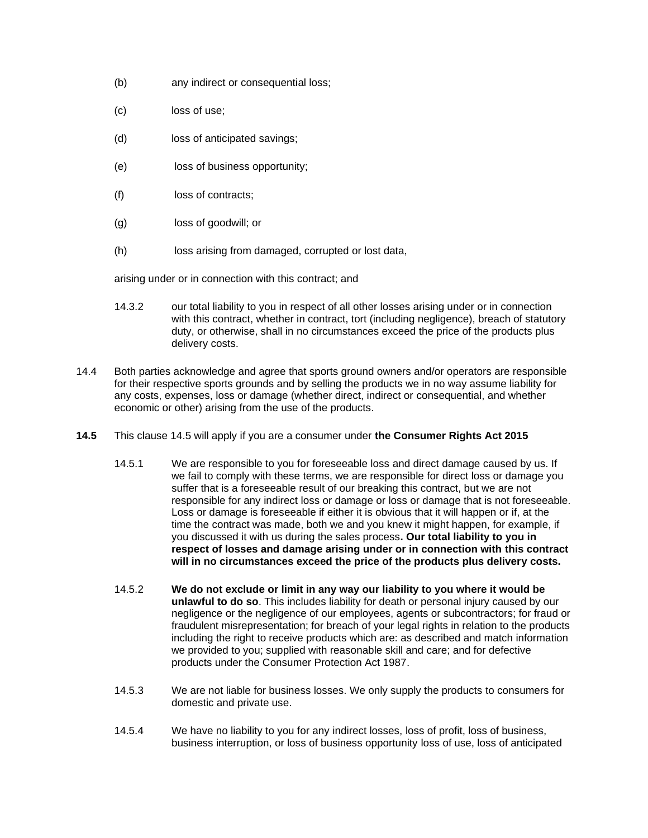- (b) any indirect or consequential loss;
- (c) loss of use;
- (d) loss of anticipated savings;
- (e) loss of business opportunity;
- (f) loss of contracts;
- (g) loss of goodwill; or
- (h) loss arising from damaged, corrupted or lost data,

arising under or in connection with this contract; and

- 14.3.2 our total liability to you in respect of all other losses arising under or in connection with this contract, whether in contract, tort (including negligence), breach of statutory duty, or otherwise, shall in no circumstances exceed the price of the products plus delivery costs.
- 14.4 Both parties acknowledge and agree that sports ground owners and/or operators are responsible for their respective sports grounds and by selling the products we in no way assume liability for any costs, expenses, loss or damage (whether direct, indirect or consequential, and whether economic or other) arising from the use of the products.
- **14.5** This clause 14.5 will apply if you are a consumer under **the Consumer Rights Act 2015** 
	- 14.5.1 We are responsible to you for foreseeable loss and direct damage caused by us. If we fail to comply with these terms, we are responsible for direct loss or damage you suffer that is a foreseeable result of our breaking this contract, but we are not responsible for any indirect loss or damage or loss or damage that is not foreseeable. Loss or damage is foreseeable if either it is obvious that it will happen or if, at the time the contract was made, both we and you knew it might happen, for example, if you discussed it with us during the sales process**. Our total liability to you in respect of losses and damage arising under or in connection with this contract will in no circumstances exceed the price of the products plus delivery costs.**
	- 14.5.2 **We do not exclude or limit in any way our liability to you where it would be unlawful to do so**. This includes liability for death or personal injury caused by our negligence or the negligence of our employees, agents or subcontractors; for fraud or fraudulent misrepresentation; for breach of your legal rights in relation to the products including the right to receive products which are: as described and match information we provided to you; supplied with reasonable skill and care; and for defective products under the Consumer Protection Act 1987.
	- 14.5.3 We are not liable for business losses. We only supply the products to consumers for domestic and private use.
	- 14.5.4 We have no liability to you for any indirect losses, loss of profit, loss of business, business interruption, or loss of business opportunity loss of use, loss of anticipated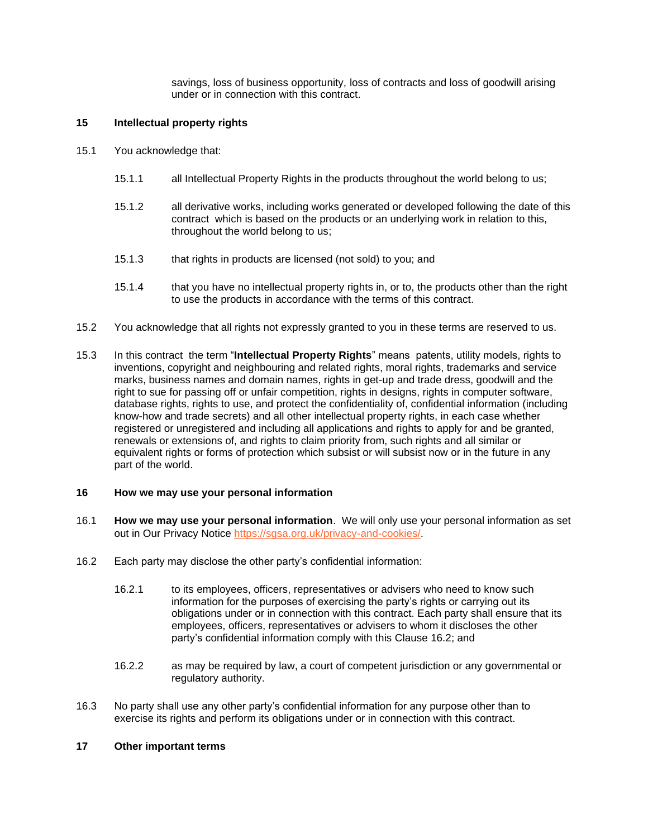savings, loss of business opportunity, loss of contracts and loss of goodwill arising under or in connection with this contract.

# **15 Intellectual property rights**

- 15.1 You acknowledge that:
	- 15.1.1 all Intellectual Property Rights in the products throughout the world belong to us;
	- 15.1.2 all derivative works, including works generated or developed following the date of this contract which is based on the products or an underlying work in relation to this, throughout the world belong to us;
	- 15.1.3 that rights in products are licensed (not sold) to you; and
	- 15.1.4 that you have no intellectual property rights in, or to, the products other than the right to use the products in accordance with the terms of this contract.
- 15.2 You acknowledge that all rights not expressly granted to you in these terms are reserved to us.
- 15.3 In this contract the term "**Intellectual Property Rights**" means patents, utility models, rights to inventions, copyright and neighbouring and related rights, moral rights, trademarks and service marks, business names and domain names, rights in get-up and trade dress, goodwill and the right to sue for passing off or unfair competition, rights in designs, rights in computer software, database rights, rights to use, and protect the confidentiality of, confidential information (including know-how and trade secrets) and all other intellectual property rights, in each case whether registered or unregistered and including all applications and rights to apply for and be granted, renewals or extensions of, and rights to claim priority from, such rights and all similar or equivalent rights or forms of protection which subsist or will subsist now or in the future in any part of the world.

## **16 How we may use your personal information**

- 16.1 **How we may use your personal information**. We will only use your personal information as set out in Our Privacy Notice [https://sgsa.org.uk/privacy-and-cookies/.](https://sgsa.org.uk/privacy-and-cookies/)
- 16.2 Each party may disclose the other party's confidential information:
	- 16.2.1 to its employees, officers, representatives or advisers who need to know such information for the purposes of exercising the party's rights or carrying out its obligations under or in connection with this contract. Each party shall ensure that its employees, officers, representatives or advisers to whom it discloses the other party's confidential information comply with this Clause 16.2; and
	- 16.2.2 as may be required by law, a court of competent jurisdiction or any governmental or regulatory authority.
- 16.3 No party shall use any other party's confidential information for any purpose other than to exercise its rights and perform its obligations under or in connection with this contract.

## **17 Other important terms**